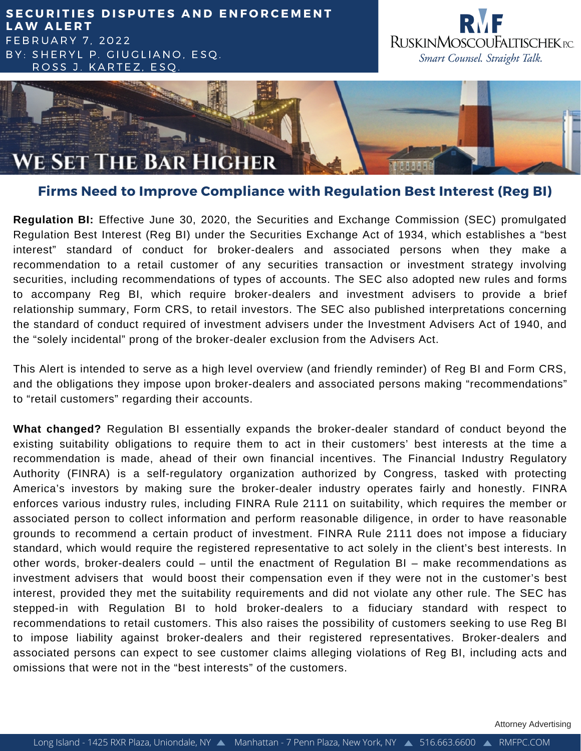## **SECURITIES DISPUTES AND ENFORCEMENT L A W A L E R T** F E B R U A R Y 7 , 2 0 2 2 BY: SHERYL P. GIUGLIANO, ESQ. ROSS J. KARTEZ, ESQ





## **Firms Need to Improve Compliance with Regulation Best Interest (Reg BI)**

**Regulation BI:** Effective June 30, 2020, the Securities and Exchange Commission (SEC) promulgated Regulation Best Interest (Reg BI) under the Securities Exchange Act of 1934, which establishes a "best interest" standard of conduct for broker-dealers and associated persons when they make a recommendation to a retail customer of any securities transaction or investment strategy involving securities, including recommendations of types of accounts. The SEC also adopted new rules and forms to accompany Reg BI, which require broker-dealers and investment advisers to provide a brief relationship summary, Form CRS, to retail investors. The SEC also published interpretations concerning the standard of conduct required of investment advisers under the Investment Advisers Act of 1940, and the "solely incidental" prong of the broker-dealer exclusion from the Advisers Act.

This Alert is intended to serve as a high level overview (and friendly reminder) of Reg BI and Form CRS, and the obligations they impose upon broker-dealers and associated persons making "recommendations" to "retail customers" regarding their accounts.

**What changed?** Regulation BI essentially expands the broker-dealer standard of conduct beyond the existing suitability obligations to require them to act in their customers' best interests at the time a recommendation is made, ahead of their own financial incentives. The Financial Industry Regulatory Authority (FINRA) is a self-regulatory organization authorized by Congress, tasked with protecting America's investors by making sure the broker-dealer industry operates fairly and honestly. FINRA enforces various industry rules, including FINRA Rule 2111 on suitability, which requires the member or associated person to collect information and perform reasonable diligence, in order to have reasonable grounds to recommend a certain product of investment. FINRA Rule 2111 does not impose a fiduciary standard, which would require the registered representative to act solely in the client's best interests. In other words, broker-dealers could – until the enactment of Regulation BI – make recommendations as investment advisers that would boost their compensation even if they were not in the customer's best interest, provided they met the suitability requirements and did not violate any other rule. The SEC has stepped-in with Regulation BI to hold broker-dealers to a fiduciary standard with respect to recommendations to retail customers. This also raises the possibility of customers seeking to use Reg BI to impose liability against broker-dealers and their registered representatives. Broker-dealers and associated persons can expect to see customer claims alleging violations of Reg BI, including acts and omissions that were not in the "best interests" of the customers.

Attorney Advertising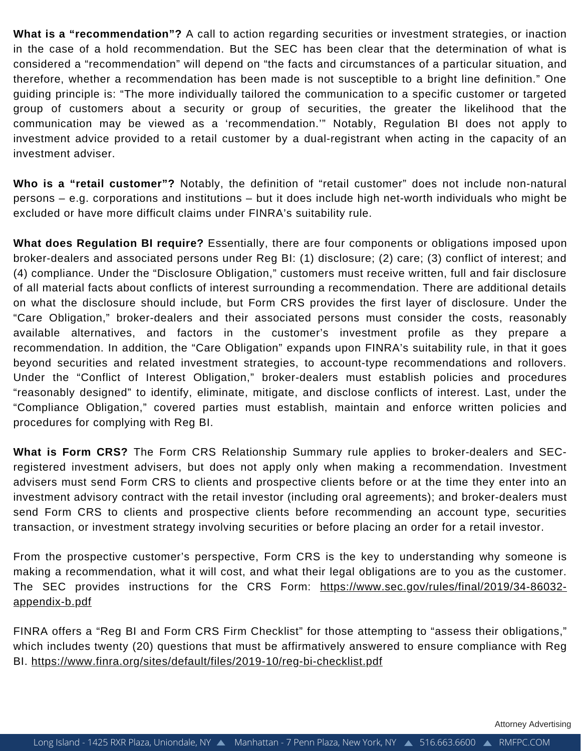**What is a "recommendation"?** A call to action regarding securities or investment strategies, or inaction in the case of a hold recommendation. But the SEC has been clear that the determination of what is considered a "recommendation" will depend on "the facts and circumstances of a particular situation, and therefore, whether a recommendation has been made is not susceptible to a bright line definition." One guiding principle is: "The more individually tailored the communication to a specific customer or targeted group of customers about a security or group of securities, the greater the likelihood that the communication may be viewed as a 'recommendation.'" Notably, Regulation BI does not apply to investment advice provided to a retail customer by a dual-registrant when acting in the capacity of an investment adviser.

**Who is a "retail customer"?** Notably, the definition of "retail customer" does not include non-natural persons – e.g. corporations and institutions – but it does include high net-worth individuals who might be excluded or have more difficult claims under FINRA's suitability rule.

**What does Regulation BI require?** Essentially, there are four components or obligations imposed upon broker-dealers and associated persons under Reg BI: (1) disclosure; (2) care; (3) conflict of interest; and (4) compliance. Under the "Disclosure Obligation," customers must receive written, full and fair disclosure of all material facts about conflicts of interest surrounding a recommendation. There are additional details on what the disclosure should include, but Form CRS provides the first layer of disclosure. Under the "Care Obligation," broker-dealers and their associated persons must consider the costs, reasonably available alternatives, and factors in the customer's investment profile as they prepare a recommendation. In addition, the "Care Obligation" expands upon FINRA's suitability rule, in that it goes beyond securities and related investment strategies, to account-type recommendations and rollovers. Under the "Conflict of Interest Obligation," broker-dealers must establish policies and procedures "reasonably designed" to identify, eliminate, mitigate, and disclose conflicts of interest. Last, under the "Compliance Obligation," covered parties must establish, maintain and enforce written policies and procedures for complying with Reg BI.

**What is Form CRS?** The Form CRS Relationship Summary rule applies to broker-dealers and SECregistered investment advisers, but does not apply only when making a recommendation. Investment advisers must send Form CRS to clients and prospective clients before or at the time they enter into an investment advisory contract with the retail investor (including oral agreements); and broker-dealers must send Form CRS to clients and prospective clients before recommending an account type, securities transaction, or investment strategy involving securities or before placing an order for a retail investor.

From the prospective customer's perspective, Form CRS is the key to understanding why someone is making a recommendation, what it will cost, and what their legal obligations are to you as the customer. The SEC provides instructions for the CRS Form: [https://www.sec.gov/rules/final/2019/34-86032](https://www.sec.gov/rules/final/2019/34-86032-appendix-b.pdf) appendix-b.pdf

FINRA offers a "Reg BI and Form CRS Firm Checklist" for those attempting to "assess their obligations," which includes twenty (20) questions that must be affirmatively answered to ensure compliance with Reg BI. <https://www.finra.org/sites/default/files/2019-10/reg-bi-checklist.pdf>